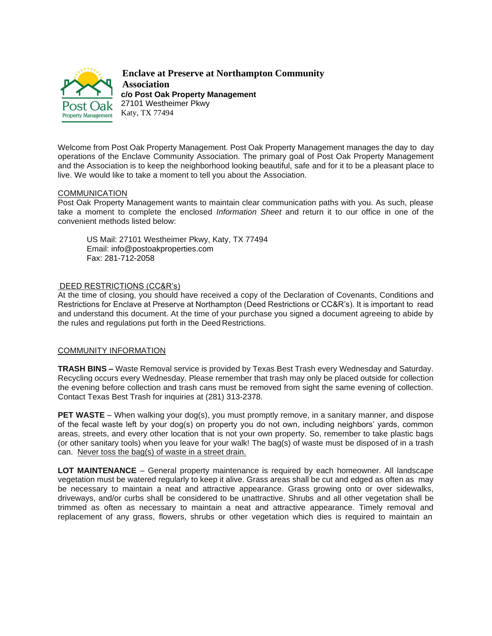

**Enclave at Preserve at Northampton Community Association c/o Post Oak Property Management** 27101 Westheimer Pkwy Katy, TX 77494

Welcome from Post Oak Property Management. Post Oak Property Management manages the day to day operations of the Enclave Community Association. The primary goal of Post Oak Property Management and the Association is to keep the neighborhood looking beautiful, safe and for it to be a pleasant place to live. We would like to take a moment to tell you about the Association.

#### COMMUNICATION

Post Oak Property Management wants to maintain clear communication paths with you. As such, please take a moment to complete the enclosed *Information Sheet* and return it to our office in one of the convenient methods listed below:

US Mail: 27101 Westheimer Pkwy, Katy, TX 77494 Email: [info@postoakproperties.com](mailto:info@postoakproperties.com) Fax: 281-712-2058

## DEED RESTRICTIONS (CC&R's)

At the time of closing, you should have received a copy of the Declaration of Covenants, Conditions and Restrictions for Enclave at Preserve at Northampton (Deed Restrictions or CC&R's). It is important to read and understand this document. At the time of your purchase you signed a document agreeing to abide by the rules and regulations put forth in the Deed Restrictions.

## COMMUNITY INFORMATION

**TRASH BINS –** Waste Removal service is provided by Texas Best Trash every Wednesday and Saturday. Recycling occurs every Wednesday. Please remember that trash may only be placed outside for collection the evening before collection and trash cans must be removed from sight the same evening of collection. Contact Texas Best Trash for inquiries at (281) 313-2378.

**PET WASTE** – When walking your dog(s), you must promptly remove, in a sanitary manner, and dispose of the fecal waste left by your dog(s) on property you do not own, including neighbors' yards, common areas, streets, and every other location that is not your own property. So, remember to take plastic bags (or other sanitary tools) when you leave for your walk! The bag(s) of waste must be disposed of in a trash can. Never toss the bag(s) of waste in a street drain.

**LOT MAINTENANCE** – General property maintenance is required by each homeowner. All landscape vegetation must be watered regularly to keep it alive. Grass areas shall be cut and edged as often as may be necessary to maintain a neat and attractive appearance. Grass growing onto or over sidewalks, driveways, and/or curbs shall be considered to be unattractive. Shrubs and all other vegetation shall be trimmed as often as necessary to maintain a neat and attractive appearance. Timely removal and replacement of any grass, flowers, shrubs or other vegetation which dies is required to maintain an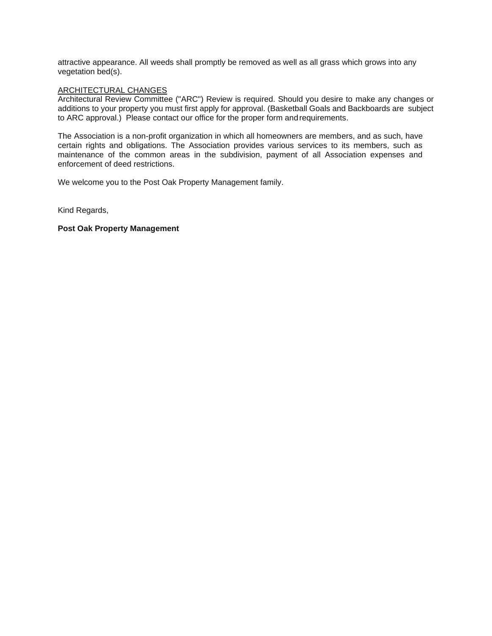attractive appearance. All weeds shall promptly be removed as well as all grass which grows into any vegetation bed(s).

#### ARCHITECTURAL CHANGES

Architectural Review Committee ("ARC") Review is required. Should you desire to make any changes or additions to your property you must first apply for approval. (Basketball Goals and Backboards are subject to ARC approval.) Please contact our office for the proper form andrequirements.

The Association is a non-profit organization in which all homeowners are members, and as such, have certain rights and obligations. The Association provides various services to its members, such as maintenance of the common areas in the subdivision, payment of all Association expenses and enforcement of deed restrictions.

We welcome you to the Post Oak Property Management family.

Kind Regards,

**Post Oak Property Management**